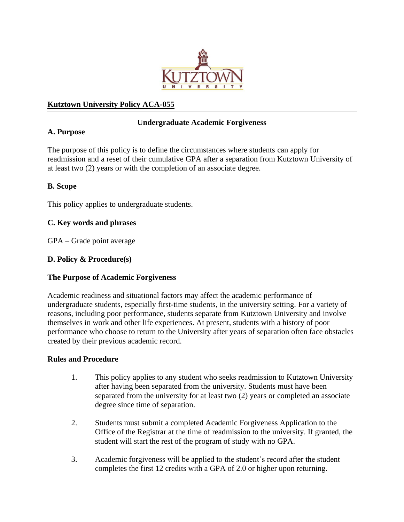

# **Kutztown University Policy ACA-055**

# **Undergraduate Academic Forgiveness**

# **A. Purpose**

The purpose of this policy is to define the circumstances where students can apply for readmission and a reset of their cumulative GPA after a separation from Kutztown University of at least two (2) years or with the completion of an associate degree.

### **B. Scope**

This policy applies to undergraduate students.

### **C. Key words and phrases**

GPA – Grade point average

### **D. Policy & Procedure(s)**

#### **The Purpose of Academic Forgiveness**

Academic readiness and situational factors may affect the academic performance of undergraduate students, especially first-time students, in the university setting. For a variety of reasons, including poor performance, students separate from Kutztown University and involve themselves in work and other life experiences. At present, students with a history of poor performance who choose to return to the University after years of separation often face obstacles created by their previous academic record.

#### **Rules and Procedure**

- 1. This policy applies to any student who seeks readmission to Kutztown University after having been separated from the university. Students must have been separated from the university for at least two (2) years or completed an associate degree since time of separation.
- 2. Students must submit a completed Academic Forgiveness Application to the Office of the Registrar at the time of readmission to the university. If granted, the student will start the rest of the program of study with no GPA.
- 3. Academic forgiveness will be applied to the student's record after the student completes the first 12 credits with a GPA of 2.0 or higher upon returning.